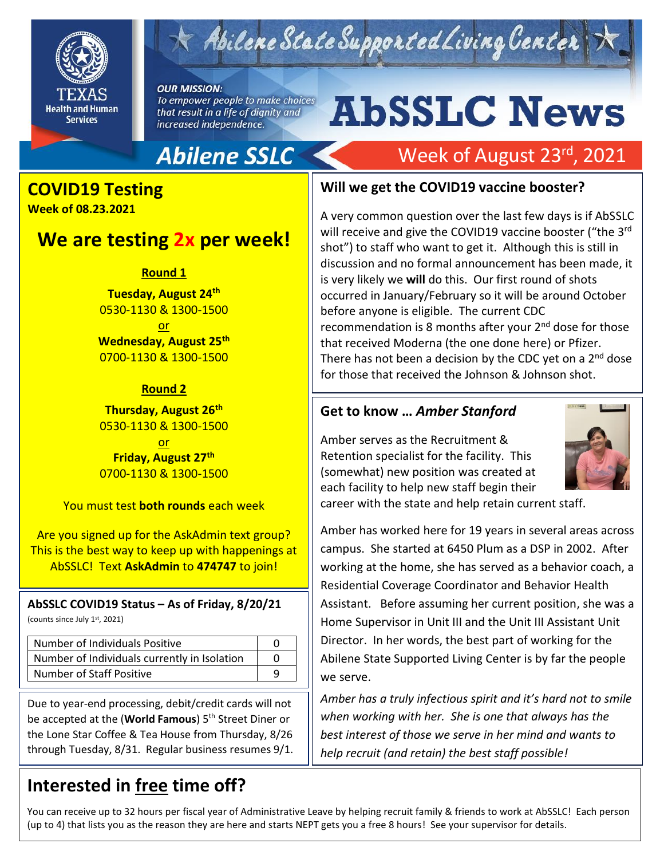

## $\kappa$  Abilene State Supported Living Center

**OUR MISSION:** To empower people to make choices that result in a life of dignity and increased independence.

# **AbSSLC News**

Week of August 23<sup>rd</sup>, 2021

## **Abilene SSLC**

## **COVID19 Testing**

**Week of 08.23.2021** 

## **We are testing 2x per week!**

**Round 1**

**Tuesday, August 24th** 0530-1130 & 1300-1500 or **Wednesday, August 25th** 0700-1130 & 1300-1500

#### **Round 2**

**Thursday, August 26th** 0530-1130 & 1300-1500

or **Friday, August 27th** 0700-1130 & 1300-1500

You must test **both rounds** each week

Are you signed up for the AskAdmin text group? This is the best way to keep up with happenings at AbSSLC! Text **AskAdmin** to **474747** to join!

#### **AbSSLC COVID19 Status – As of Friday, 8/20/21**

(counts since July 1st, 2021)

| Number of Individuals Positive               |  |
|----------------------------------------------|--|
| Number of Individuals currently in Isolation |  |
| <b>Number of Staff Positive</b>              |  |

Due to year-end processing, debit/credit cards will not be accepted at the (**World Famous**) 5th Street Diner or the Lone Star Coffee & Tea House from Thursday, 8/26 through Tuesday, 8/31. Regular business resumes 9/1.

## **Interested in free time off?**

#### **Will we get the COVID19 vaccine booster?**

A very common question over the last few days is if AbSSLC will receive and give the COVID19 vaccine booster ("the 3rd shot") to staff who want to get it. Although this is still in discussion and no formal announcement has been made, it is very likely we **will** do this. Our first round of shots occurred in January/February so it will be around October before anyone is eligible. The current CDC recommendation is 8 months after your  $2<sup>nd</sup>$  dose for those that received Moderna (the one done here) or Pfizer. There has not been a decision by the CDC yet on a 2<sup>nd</sup> dose for those that received the Johnson & Johnson shot.

#### **Get to know …** *Amber Stanford*

Amber serves as the Recruitment & Retention specialist for the facility. This (somewhat) new position was created at each facility to help new staff begin their



career with the state and help retain current staff.

Amber has worked here for 19 years in several areas across campus. She started at 6450 Plum as a DSP in 2002. After working at the home, she has served as a behavior coach, a Residential Coverage Coordinator and Behavior Health Assistant. Before assuming her current position, she was a Home Supervisor in Unit III and the Unit III Assistant Unit Director. In her words, the best part of working for the Abilene State Supported Living Center is by far the people we serve.

*Amber has a truly infectious spirit and it's hard not to smile when working with her. She is one that always has the best interest of those we serve in her mind and wants to help recruit (and retain) the best staff possible!*

You can receive up to 32 hours per fiscal year of Administrative Leave by helping recruit family & friends to work at AbSSLC! Each person (up to 4) that lists you as the reason they are here and starts NEPT gets you a free 8 hours! See your supervisor for details.